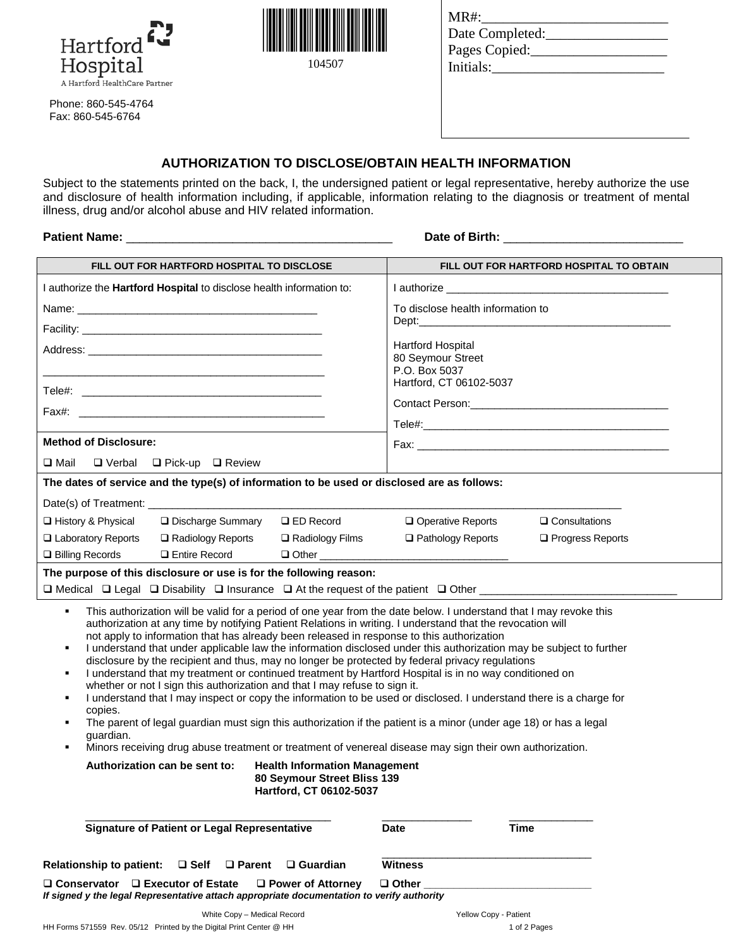



| $MR#$ :         |  |
|-----------------|--|
| Date Completed: |  |
| Pages Copied:   |  |
| Initials:       |  |
|                 |  |

Phone: 860-545-4764 Fax: 860-545-6764

## **AUTHORIZATION TO DISCLOSE/OBTAIN HEALTH INFORMATION**

Subject to the statements printed on the back, I, the undersigned patient or legal representative, hereby authorize the use and disclosure of health information including, if applicable, information relating to the diagnosis or treatment of mental illness, drug and/or alcohol abuse and HIV related information.

**Patient Name:** \_\_\_\_\_\_\_\_\_\_\_\_\_\_\_\_\_\_\_\_\_\_\_\_\_\_\_\_\_\_\_\_\_\_\_\_\_\_\_\_ **Date of Birth:** \_\_\_\_\_\_\_\_\_\_\_\_\_\_\_\_\_\_\_\_\_\_\_\_\_\_\_

| FILL OUT FOR HARTFORD HOSPITAL TO DISCLOSE                                                                                                                                                                                                                                                                                                                                                                                                                                                                                                                                                                                                                                                                                                                                                                                                                                                                                                                                                                                                                                                                                                                                                                                                                                             | FILL OUT FOR HARTFORD HOSPITAL TO OBTAIN     |  |  |
|----------------------------------------------------------------------------------------------------------------------------------------------------------------------------------------------------------------------------------------------------------------------------------------------------------------------------------------------------------------------------------------------------------------------------------------------------------------------------------------------------------------------------------------------------------------------------------------------------------------------------------------------------------------------------------------------------------------------------------------------------------------------------------------------------------------------------------------------------------------------------------------------------------------------------------------------------------------------------------------------------------------------------------------------------------------------------------------------------------------------------------------------------------------------------------------------------------------------------------------------------------------------------------------|----------------------------------------------|--|--|
| I authorize the Hartford Hospital to disclose health information to:                                                                                                                                                                                                                                                                                                                                                                                                                                                                                                                                                                                                                                                                                                                                                                                                                                                                                                                                                                                                                                                                                                                                                                                                                   |                                              |  |  |
|                                                                                                                                                                                                                                                                                                                                                                                                                                                                                                                                                                                                                                                                                                                                                                                                                                                                                                                                                                                                                                                                                                                                                                                                                                                                                        | To disclose health information to            |  |  |
|                                                                                                                                                                                                                                                                                                                                                                                                                                                                                                                                                                                                                                                                                                                                                                                                                                                                                                                                                                                                                                                                                                                                                                                                                                                                                        | the control of the control of the control of |  |  |
|                                                                                                                                                                                                                                                                                                                                                                                                                                                                                                                                                                                                                                                                                                                                                                                                                                                                                                                                                                                                                                                                                                                                                                                                                                                                                        | <b>Hartford Hospital</b>                     |  |  |
|                                                                                                                                                                                                                                                                                                                                                                                                                                                                                                                                                                                                                                                                                                                                                                                                                                                                                                                                                                                                                                                                                                                                                                                                                                                                                        | 80 Seymour Street<br>P.O. Box 5037           |  |  |
|                                                                                                                                                                                                                                                                                                                                                                                                                                                                                                                                                                                                                                                                                                                                                                                                                                                                                                                                                                                                                                                                                                                                                                                                                                                                                        | Hartford, CT 06102-5037                      |  |  |
|                                                                                                                                                                                                                                                                                                                                                                                                                                                                                                                                                                                                                                                                                                                                                                                                                                                                                                                                                                                                                                                                                                                                                                                                                                                                                        |                                              |  |  |
|                                                                                                                                                                                                                                                                                                                                                                                                                                                                                                                                                                                                                                                                                                                                                                                                                                                                                                                                                                                                                                                                                                                                                                                                                                                                                        |                                              |  |  |
| <b>Method of Disclosure:</b>                                                                                                                                                                                                                                                                                                                                                                                                                                                                                                                                                                                                                                                                                                                                                                                                                                                                                                                                                                                                                                                                                                                                                                                                                                                           |                                              |  |  |
| $\square$ Mail<br>$\Box$ Verbal $\Box$ Pick-up $\Box$ Review                                                                                                                                                                                                                                                                                                                                                                                                                                                                                                                                                                                                                                                                                                                                                                                                                                                                                                                                                                                                                                                                                                                                                                                                                           |                                              |  |  |
| The dates of service and the type(s) of information to be used or disclosed are as follows:                                                                                                                                                                                                                                                                                                                                                                                                                                                                                                                                                                                                                                                                                                                                                                                                                                                                                                                                                                                                                                                                                                                                                                                            |                                              |  |  |
|                                                                                                                                                                                                                                                                                                                                                                                                                                                                                                                                                                                                                                                                                                                                                                                                                                                                                                                                                                                                                                                                                                                                                                                                                                                                                        |                                              |  |  |
| □ History & Physical<br>□ Discharge Summary<br>$\Box$ ED Record                                                                                                                                                                                                                                                                                                                                                                                                                                                                                                                                                                                                                                                                                                                                                                                                                                                                                                                                                                                                                                                                                                                                                                                                                        | Operative Reports<br>$\Box$ Consultations    |  |  |
| □ Laboratory Reports<br>□ Radiology Reports<br>□ Radiology Films                                                                                                                                                                                                                                                                                                                                                                                                                                                                                                                                                                                                                                                                                                                                                                                                                                                                                                                                                                                                                                                                                                                                                                                                                       | □ Pathology Reports<br>□ Progress Reports    |  |  |
| <b>Q</b> Entire Record<br>□ Billing Records                                                                                                                                                                                                                                                                                                                                                                                                                                                                                                                                                                                                                                                                                                                                                                                                                                                                                                                                                                                                                                                                                                                                                                                                                                            |                                              |  |  |
| The purpose of this disclosure or use is for the following reason:<br>$\Box$ Medical $\Box$ Legal $\Box$ Disability $\Box$ Insurance $\Box$ At the request of the patient $\Box$ Other                                                                                                                                                                                                                                                                                                                                                                                                                                                                                                                                                                                                                                                                                                                                                                                                                                                                                                                                                                                                                                                                                                 |                                              |  |  |
| This authorization will be valid for a period of one year from the date below. I understand that I may revoke this<br>٠<br>authorization at any time by notifying Patient Relations in writing. I understand that the revocation will<br>not apply to information that has already been released in response to this authorization<br>I understand that under applicable law the information disclosed under this authorization may be subject to further<br>٠<br>disclosure by the recipient and thus, may no longer be protected by federal privacy regulations<br>I understand that my treatment or continued treatment by Hartford Hospital is in no way conditioned on<br>whether or not I sign this authorization and that I may refuse to sign it.<br>I understand that I may inspect or copy the information to be used or disclosed. I understand there is a charge for<br>٠<br>copies.<br>The parent of legal guardian must sign this authorization if the patient is a minor (under age 18) or has a legal<br>٠<br>quardian.<br>Minors receiving drug abuse treatment or treatment of venereal disease may sign their own authorization.<br>Authorization can be sent to:<br><b>Health Information Management</b><br>80 Seymour Street Bliss 139<br>Hartford, CT 06102-5037 |                                              |  |  |
| <b>Signature of Patient or Legal Representative</b>                                                                                                                                                                                                                                                                                                                                                                                                                                                                                                                                                                                                                                                                                                                                                                                                                                                                                                                                                                                                                                                                                                                                                                                                                                    | <b>Time</b><br><b>Date</b>                   |  |  |
|                                                                                                                                                                                                                                                                                                                                                                                                                                                                                                                                                                                                                                                                                                                                                                                                                                                                                                                                                                                                                                                                                                                                                                                                                                                                                        |                                              |  |  |
| <b>Relationship to patient:</b><br>$\square$ Self<br>$\Box$ Parent<br>$\Box$ Guardian                                                                                                                                                                                                                                                                                                                                                                                                                                                                                                                                                                                                                                                                                                                                                                                                                                                                                                                                                                                                                                                                                                                                                                                                  | <b>Witness</b>                               |  |  |
| $\Box$ Power of Attorney<br>$\Box$ Conservator $\Box$ Executor of Estate<br>If signed y the legal Representative attach appropriate documentation to verify authority                                                                                                                                                                                                                                                                                                                                                                                                                                                                                                                                                                                                                                                                                                                                                                                                                                                                                                                                                                                                                                                                                                                  | $\square$ Other                              |  |  |